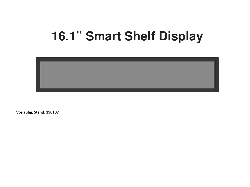# **16.1" Smart Shelf Display**



Vorläufig, Stand: 190107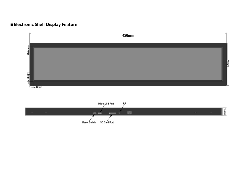# ■Electronic Shelf Display Feature

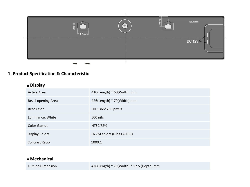

#### 1. Product Specification & Characteristic

#### ■ Display

| <b>Active Area</b>    | $410$ (Length) * $60$ (Width) mm |
|-----------------------|----------------------------------|
| Bezel opening Area    | 426(Length) * 79(Width) mm       |
| Resolution            | HD 1366*200 pixels               |
| Luminance, White      | 500 nits                         |
| Color Gamut           | <b>NTSC 72%</b>                  |
| <b>Display Colors</b> | 16.7M colors (6-bit+A-FRC)       |
| <b>Contrast Ratio</b> | 1000:1                           |

# ■ Mechanical

#### Outline Dimension 426(Length) \* 79(Width) \* 17.5 (Depth) mm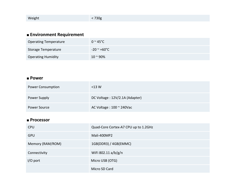#### ■ Environment Requirement

| <b>Operating Temperature</b> | $0 \approx 45^{\circ}$ C |
|------------------------------|--------------------------|
| Storage Temperature          | -20 <sup>~</sup> +60°C   |
| <b>Operating Humidity</b>    | $10 - 90\%$              |

## ■ Power

| <b>Power Consumption</b> | $<$ 13 W                           |
|--------------------------|------------------------------------|
| Power Supply             | DC Voltage: 12V/2.1A (Adapter)     |
| Power Source             | AC Voltage : $100 \approx 240$ Vac |

# ■ Processor

| <b>CPU</b>       | Quad-Core Cortex-A7 CPU up to 1.2GHz |
|------------------|--------------------------------------|
| <b>GPU</b>       | Mali-400MP2                          |
| Memory (RAM/ROM) | 1GB(DDR3) / 4GB(EMMC)                |
| Connectivity     | WiFi 802.11 a/b/g/n                  |
| $I/O$ port       | Micro USB (OTG)                      |
|                  | Micro SD Card                        |